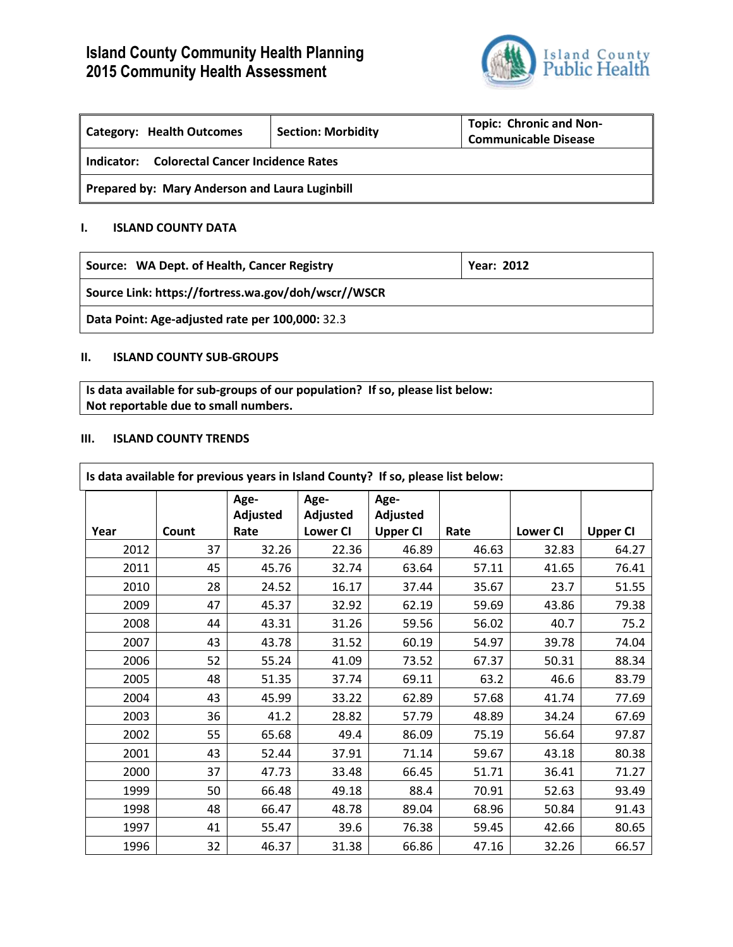# **Island County Community Health Planning 2015 Community Health Assessment**



| Category: Health Outcomes                       | <b>Section: Morbidity</b> | <b>Topic: Chronic and Non-</b><br><b>Communicable Disease</b> |  |  |  |
|-------------------------------------------------|---------------------------|---------------------------------------------------------------|--|--|--|
| Colorectal Cancer Incidence Rates<br>Indicator: |                           |                                                               |  |  |  |
| Prepared by: Mary Anderson and Laura Luginbill  |                           |                                                               |  |  |  |

# **I. ISLAND COUNTY DATA**

| Source: WA Dept. of Health, Cancer Registry | <b>Year: 2012</b> |
|---------------------------------------------|-------------------|
|                                             |                   |

**Source Link: https://fortress.wa.gov/doh/wscr//WSCR**

**Data Point: Age-adjusted rate per 100,000:** 32.3

# **II. ISLAND COUNTY SUB-GROUPS**

**Is data available for sub-groups of our population? If so, please list below: Not reportable due to small numbers.**

#### **III. ISLAND COUNTY TRENDS**

| Is data available for previous years in Island County? If so, please list below: |       |          |                 |                 |       |                 |                 |
|----------------------------------------------------------------------------------|-------|----------|-----------------|-----------------|-------|-----------------|-----------------|
|                                                                                  |       | Age-     | Age-            | Age-            |       |                 |                 |
|                                                                                  |       | Adjusted | Adjusted        | Adjusted        |       |                 |                 |
| Year                                                                             | Count | Rate     | <b>Lower CI</b> | <b>Upper CI</b> | Rate  | <b>Lower CI</b> | <b>Upper CI</b> |
| 2012                                                                             | 37    | 32.26    | 22.36           | 46.89           | 46.63 | 32.83           | 64.27           |
| 2011                                                                             | 45    | 45.76    | 32.74           | 63.64           | 57.11 | 41.65           | 76.41           |
| 2010                                                                             | 28    | 24.52    | 16.17           | 37.44           | 35.67 | 23.7            | 51.55           |
| 2009                                                                             | 47    | 45.37    | 32.92           | 62.19           | 59.69 | 43.86           | 79.38           |
| 2008                                                                             | 44    | 43.31    | 31.26           | 59.56           | 56.02 | 40.7            | 75.2            |
| 2007                                                                             | 43    | 43.78    | 31.52           | 60.19           | 54.97 | 39.78           | 74.04           |
| 2006                                                                             | 52    | 55.24    | 41.09           | 73.52           | 67.37 | 50.31           | 88.34           |
| 2005                                                                             | 48    | 51.35    | 37.74           | 69.11           | 63.2  | 46.6            | 83.79           |
| 2004                                                                             | 43    | 45.99    | 33.22           | 62.89           | 57.68 | 41.74           | 77.69           |
| 2003                                                                             | 36    | 41.2     | 28.82           | 57.79           | 48.89 | 34.24           | 67.69           |
| 2002                                                                             | 55    | 65.68    | 49.4            | 86.09           | 75.19 | 56.64           | 97.87           |
| 2001                                                                             | 43    | 52.44    | 37.91           | 71.14           | 59.67 | 43.18           | 80.38           |
| 2000                                                                             | 37    | 47.73    | 33.48           | 66.45           | 51.71 | 36.41           | 71.27           |
| 1999                                                                             | 50    | 66.48    | 49.18           | 88.4            | 70.91 | 52.63           | 93.49           |
| 1998                                                                             | 48    | 66.47    | 48.78           | 89.04           | 68.96 | 50.84           | 91.43           |
| 1997                                                                             | 41    | 55.47    | 39.6            | 76.38           | 59.45 | 42.66           | 80.65           |
| 1996                                                                             | 32    | 46.37    | 31.38           | 66.86           | 47.16 | 32.26           | 66.57           |